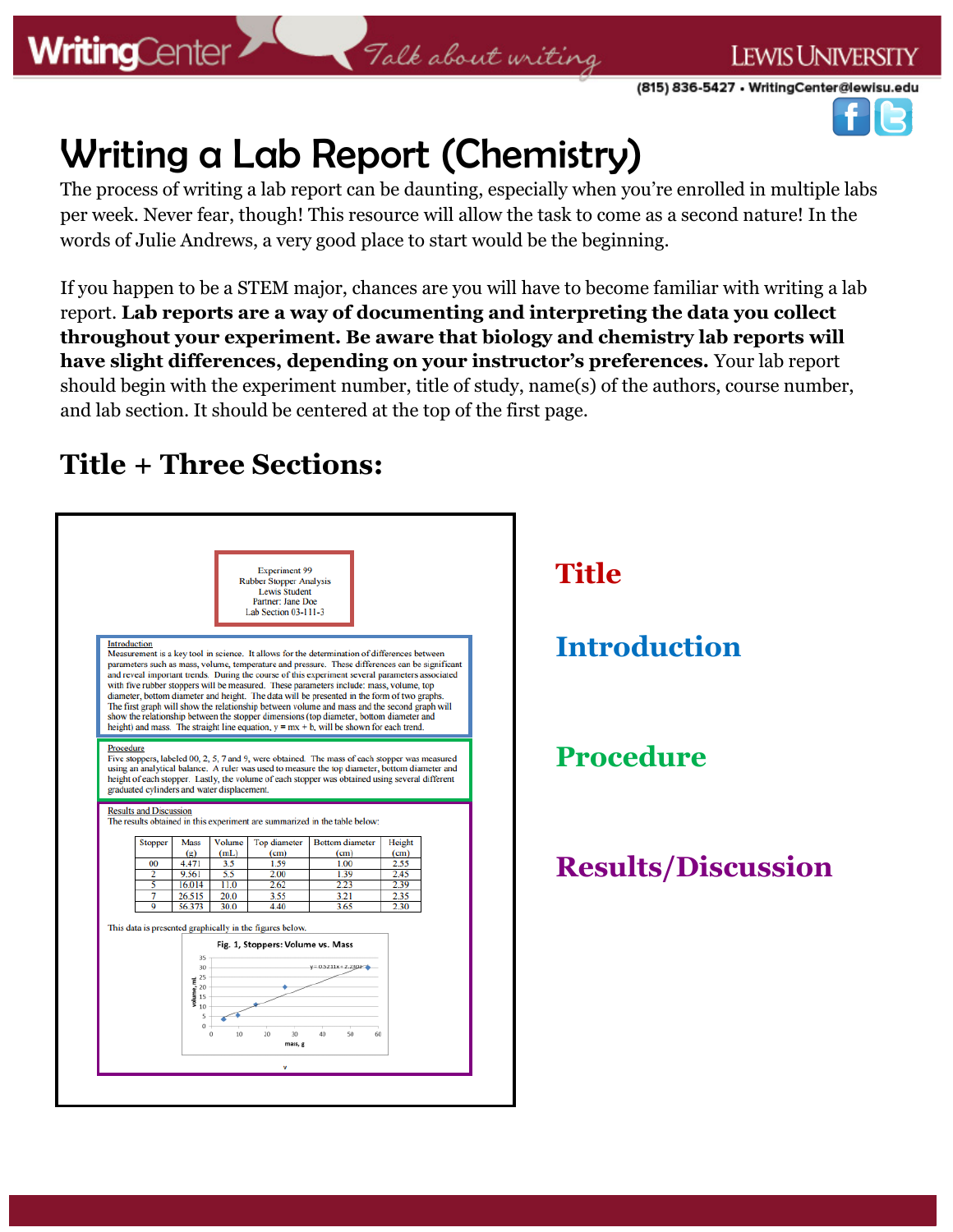### **WritingCenter**

**LEWIS UNIVERSITY** 

(815) 836-5427 • WritingCenter@lewisu.edu



# Writing a Lab Report (Chemistry)

The process of writing a lab report can be daunting, especially when you're enrolled in multiple labs per week. Never fear, though! This resource will allow the task to come as a second nature! In the words of Julie Andrews, a very good place to start would be the beginning.

Talk about writing

If you happen to be a STEM major, chances are you will have to become familiar with writing a lab report. **Lab reports are a way of documenting and interpreting the data you collect throughout your experiment. Be aware that biology and chemistry lab reports will have slight differences, depending on your instructor's preferences.** Your lab report should begin with the experiment number, title of study, name(s) of the authors, course number, and lab section. It should be centered at the top of the first page.

### **Title + Three Sections:**

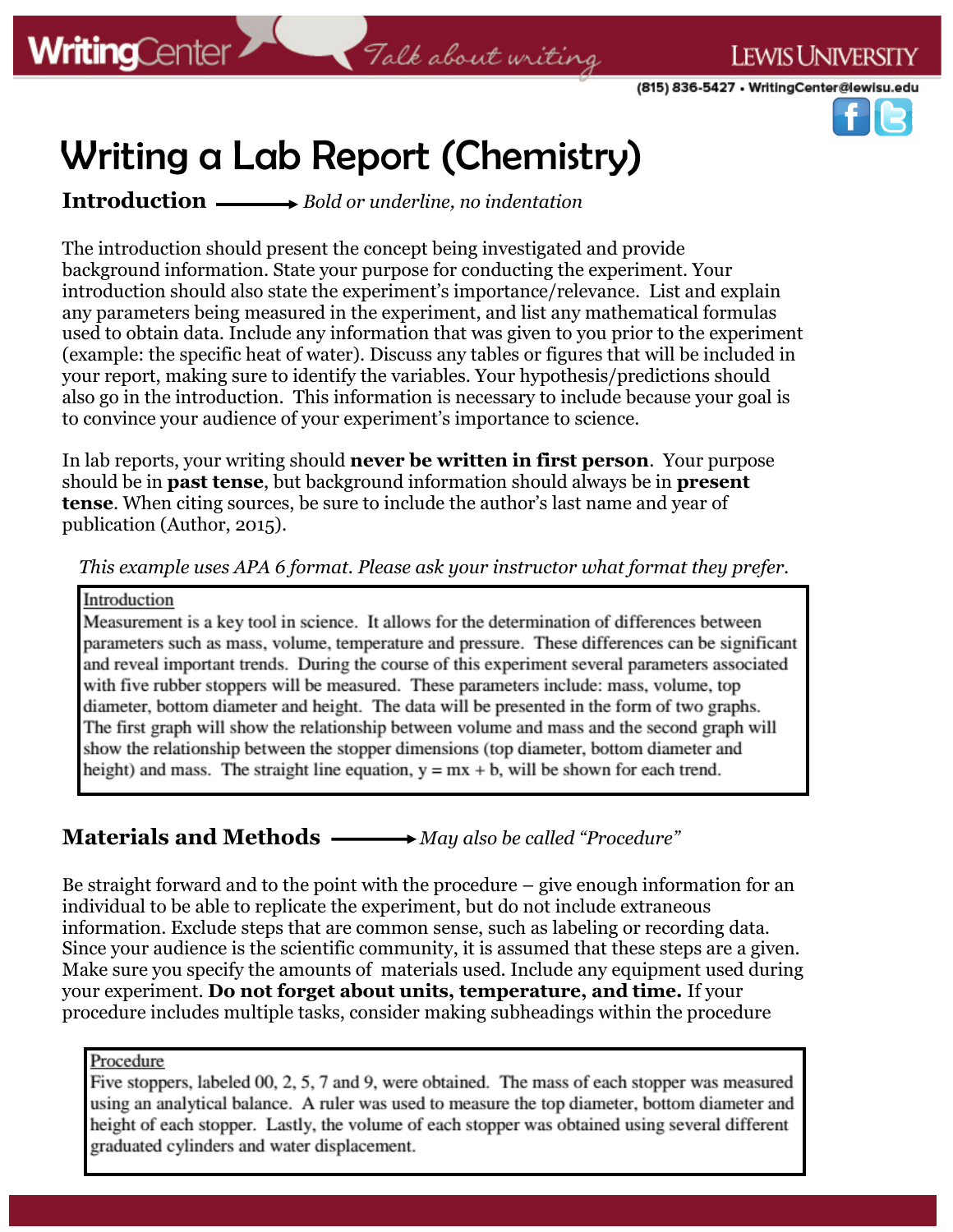(815) 836-5427 . WritingCenter@lewisu.edu

**LEWIS UNIVERSITY** 



## Writing a Lab Report (Chemistry)

**Introduction** *Bold or underline, no indentation*

The introduction should present the concept being investigated and provide background information. State your purpose for conducting the experiment. Your introduction should also state the experiment's importance/relevance. List and explain any parameters being measured in the experiment, and list any mathematical formulas used to obtain data. Include any information that was given to you prior to the experiment (example: the specific heat of water). Discuss any tables or figures that will be included in your report, making sure to identify the variables. Your hypothesis/predictions should also go in the introduction. This information is necessary to include because your goal is to convince your audience of your experiment's importance to science.

In lab reports, your writing should **never be written in first person**. Your purpose should be in **past tense**, but background information should always be in **present tense**. When citing sources, be sure to include the author's last name and year of publication (Author, 2015).

*This example uses APA 6 format. Please ask your instructor what format they prefer.*

#### Introduction

Measurement is a key tool in science. It allows for the determination of differences between parameters such as mass, volume, temperature and pressure. These differences can be significant and reveal important trends. During the course of this experiment several parameters associated with five rubber stoppers will be measured. These parameters include: mass, volume, top diameter, bottom diameter and height. The data will be presented in the form of two graphs. The first graph will show the relationship between volume and mass and the second graph will show the relationship between the stopper dimensions (top diameter, bottom diameter and height) and mass. The straight line equation,  $y = mx + b$ , will be shown for each trend.

#### **Materials and Methods** —— > May also be called "Procedure"

Be straight forward and to the point with the procedure – give enough information for an individual to be able to replicate the experiment, but do not include extraneous information. Exclude steps that are common sense, such as labeling or recording data. Since your audience is the scientific community, it is assumed that these steps are a given. Make sure you specify the amounts of materials used. Include any equipment used during your experiment. **Do not forget about units, temperature, and time.** If your procedure includes multiple tasks, consider making subheadings within the procedure

#### Procedure

Five stoppers, labeled 00, 2, 5, 7 and 9, were obtained. The mass of each stopper was measured using an analytical balance. A ruler was used to measure the top diameter, bottom diameter and height of each stopper. Lastly, the volume of each stopper was obtained using several different graduated cylinders and water displacement.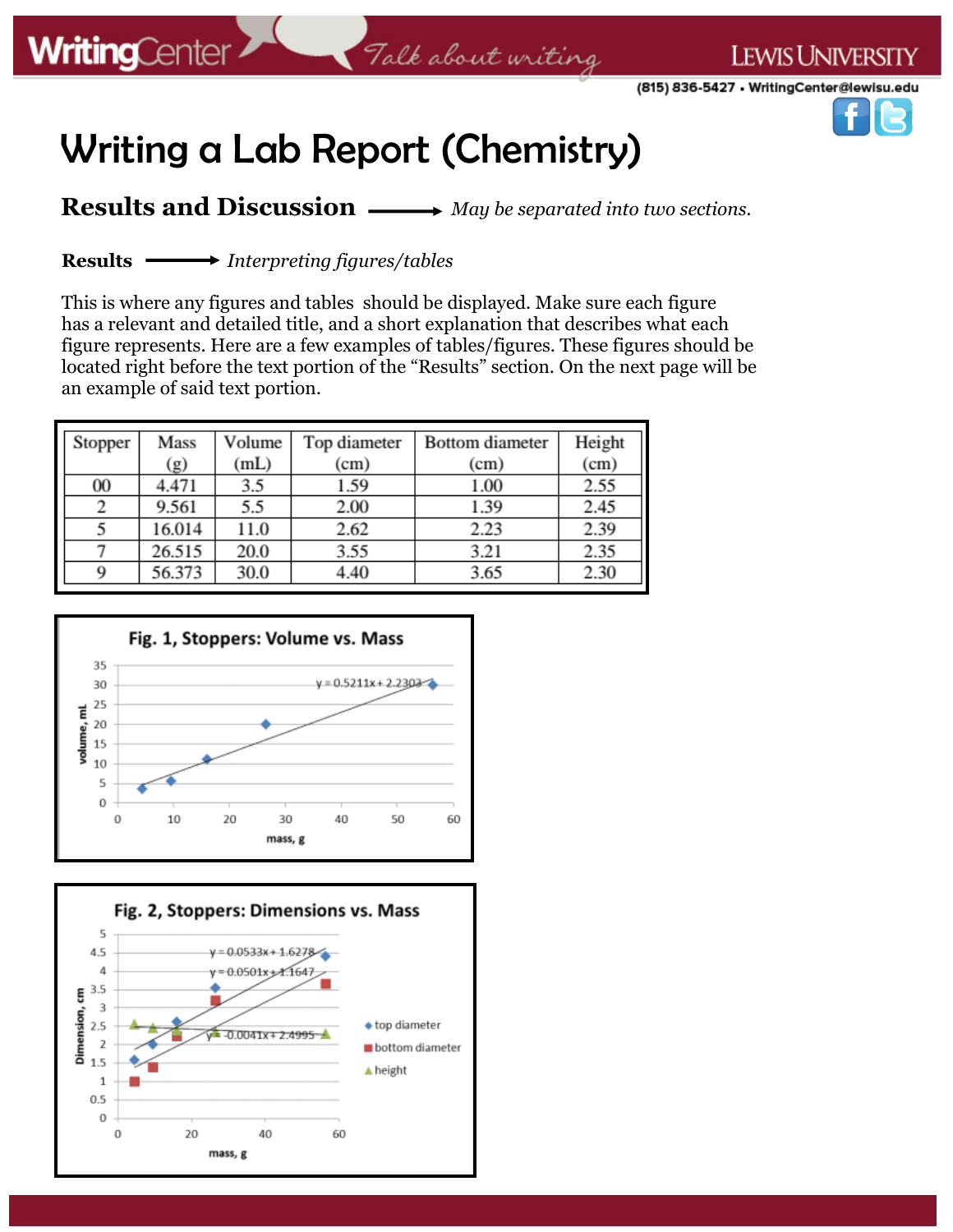**LEWIS UNIVERSITY** 



## Writing a Lab Report (Chemistry)

**Results and Discussion**  $\longrightarrow$  *May be separated into two sections.* 

**Results** *Interpreting figures/tables*

This is where any figures and tables should be displayed. Make sure each figure has a relevant and detailed title, and a short explanation that describes what each figure represents. Here are a few examples of tables/figures. These figures should be located right before the text portion of the "Results" section. On the next page will be an example of said text portion.

| Stopper | Mass   | Volume | Top diameter | <b>Bottom</b> diameter | Height |
|---------|--------|--------|--------------|------------------------|--------|
|         | (g)    | (mL)   | (cm)         | (cm)                   | (cm)   |
| 00      | 4.471  | 3.5    | 1.59         | 1.00                   | 2.55   |
|         | 9.561  | 5.5    | 2.00         | 1.39                   | 2.45   |
|         | 16.014 | 11.0   | 2.62         | 2.23                   | 2.39   |
|         | 26.515 | 20.0   | 3.55         | 3.21                   | 2.35   |
| Q       | 56.373 | 30.0   | 4.40         | 3.65                   | 2.30   |



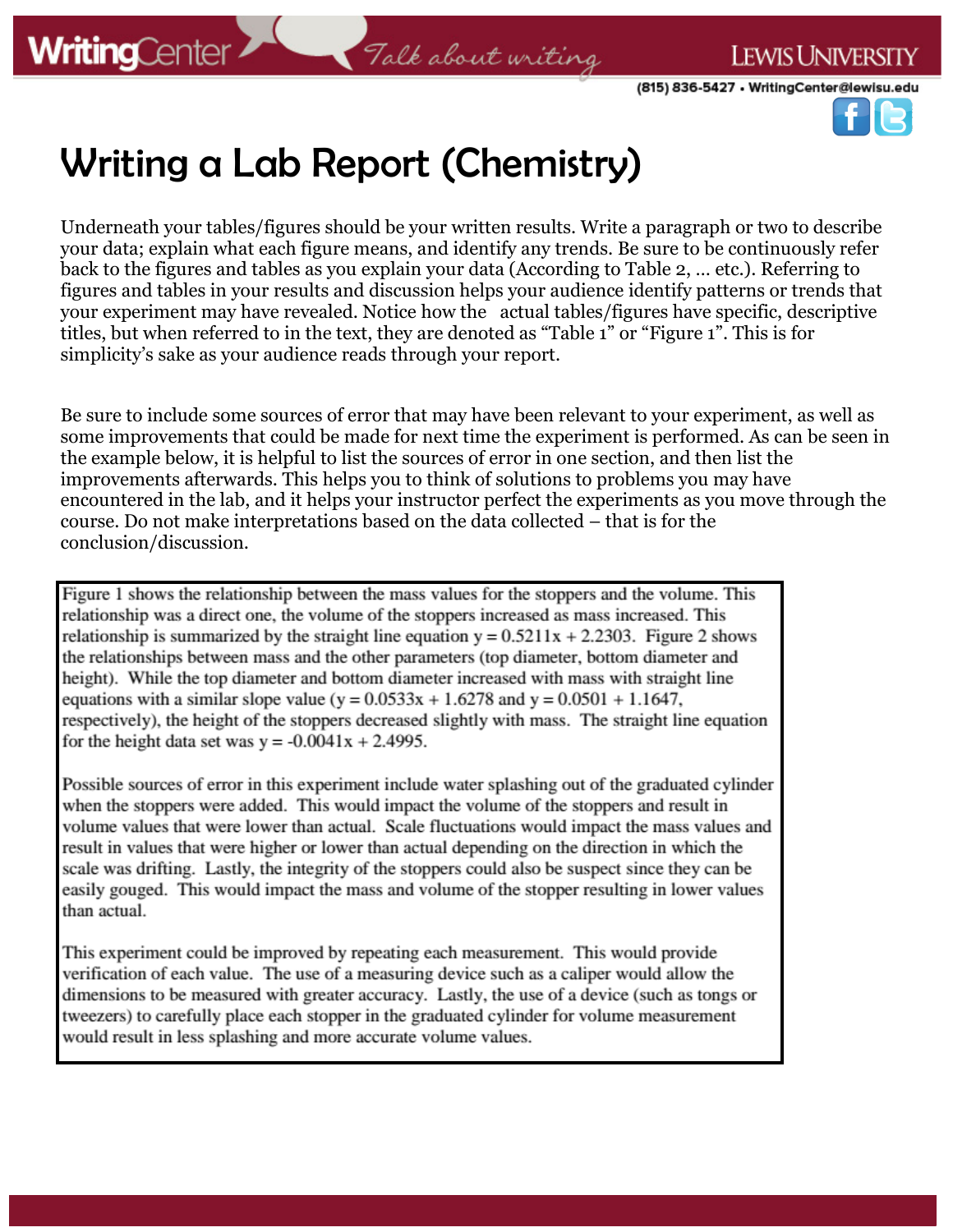(815) 836-5427 • WritingCenter@lewisu.edu

**LEWIS UNIVERSITY** 



## Writing a Lab Report (Chemistry)

Underneath your tables/figures should be your written results. Write a paragraph or two to describe your data; explain what each figure means, and identify any trends. Be sure to be continuously refer back to the figures and tables as you explain your data (According to Table 2, … etc.). Referring to figures and tables in your results and discussion helps your audience identify patterns or trends that your experiment may have revealed. Notice how the actual tables/figures have specific, descriptive titles, but when referred to in the text, they are denoted as "Table 1" or "Figure 1". This is for simplicity's sake as your audience reads through your report.

Be sure to include some sources of error that may have been relevant to your experiment, as well as some improvements that could be made for next time the experiment is performed. As can be seen in the example below, it is helpful to list the sources of error in one section, and then list the improvements afterwards. This helps you to think of solutions to problems you may have encountered in the lab, and it helps your instructor perfect the experiments as you move through the course. Do not make interpretations based on the data collected – that is for the conclusion/discussion.

Figure 1 shows the relationship between the mass values for the stoppers and the volume. This relationship was a direct one, the volume of the stoppers increased as mass increased. This relationship is summarized by the straight line equation  $y = 0.5211x + 2.2303$ . Figure 2 shows the relationships between mass and the other parameters (top diameter, bottom diameter and height). While the top diameter and bottom diameter increased with mass with straight line equations with a similar slope value ( $y = 0.0533x + 1.6278$  and  $y = 0.0501 + 1.1647$ , respectively), the height of the stoppers decreased slightly with mass. The straight line equation for the height data set was  $y = -0.0041x + 2.4995$ .

Possible sources of error in this experiment include water splashing out of the graduated cylinder when the stoppers were added. This would impact the volume of the stoppers and result in volume values that were lower than actual. Scale fluctuations would impact the mass values and result in values that were higher or lower than actual depending on the direction in which the scale was drifting. Lastly, the integrity of the stoppers could also be suspect since they can be easily gouged. This would impact the mass and volume of the stopper resulting in lower values than actual.

This experiment could be improved by repeating each measurement. This would provide verification of each value. The use of a measuring device such as a caliper would allow the dimensions to be measured with greater accuracy. Lastly, the use of a device (such as tongs or tweezers) to carefully place each stopper in the graduated cylinder for volume measurement would result in less splashing and more accurate volume values.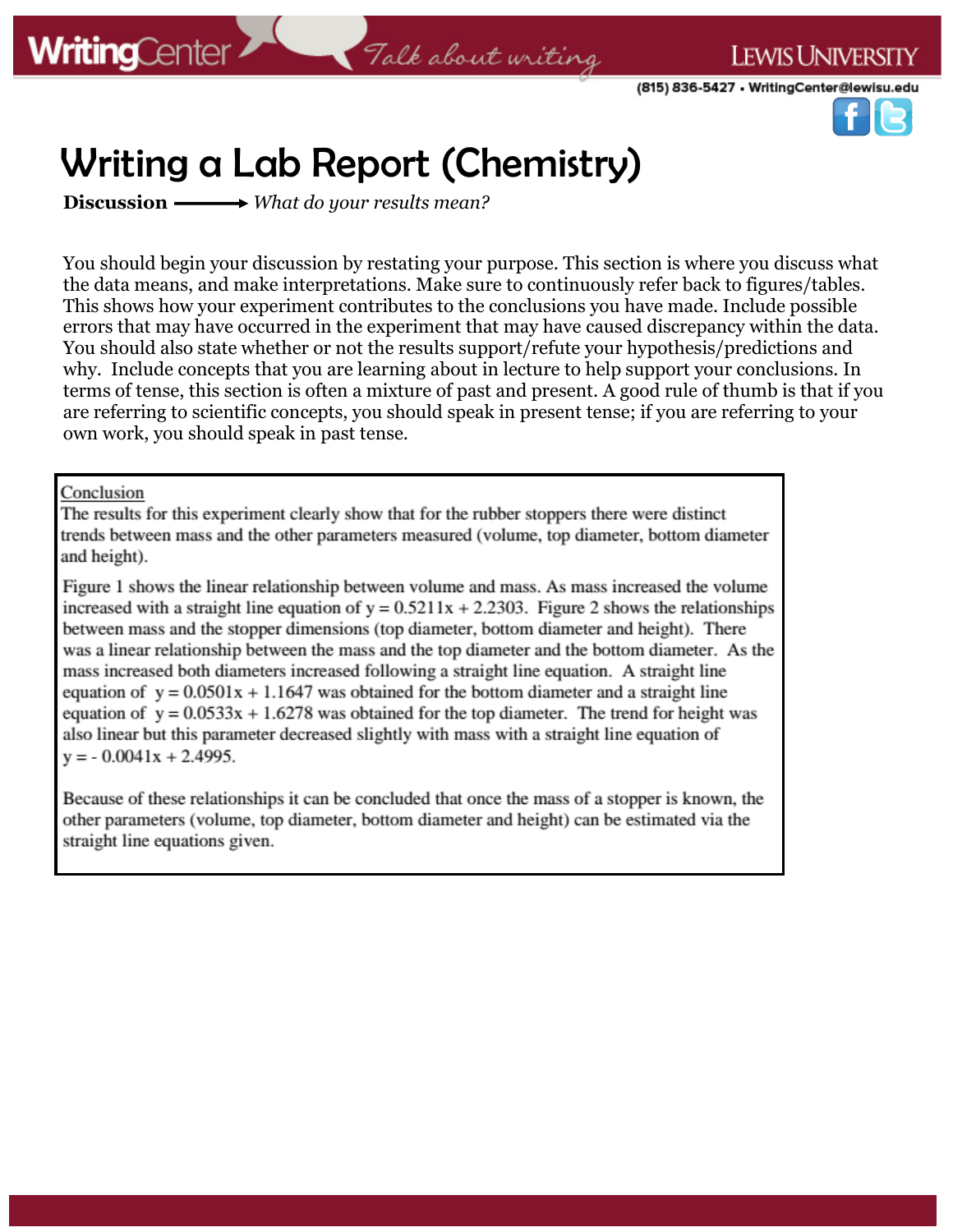(815) 836-5427 • WritingCenter@lewisu.edu

**LEWIS UNIVERSITY** 



## Writing a Lab Report (Chemistry)

**Discussion** *What do your results mean?*

You should begin your discussion by restating your purpose. This section is where you discuss what the data means, and make interpretations. Make sure to continuously refer back to figures/tables. This shows how your experiment contributes to the conclusions you have made. Include possible errors that may have occurred in the experiment that may have caused discrepancy within the data. You should also state whether or not the results support/refute your hypothesis/predictions and why. Include concepts that you are learning about in lecture to help support your conclusions. In terms of tense, this section is often a mixture of past and present. A good rule of thumb is that if you are referring to scientific concepts, you should speak in present tense; if you are referring to your own work, you should speak in past tense.

#### Conclusion

The results for this experiment clearly show that for the rubber stoppers there were distinct trends between mass and the other parameters measured (volume, top diameter, bottom diameter and height).

Figure 1 shows the linear relationship between volume and mass. As mass increased the volume increased with a straight line equation of  $y = 0.5211x + 2.2303$ . Figure 2 shows the relationships between mass and the stopper dimensions (top diameter, bottom diameter and height). There was a linear relationship between the mass and the top diameter and the bottom diameter. As the mass increased both diameters increased following a straight line equation. A straight line equation of  $y = 0.0501x + 1.1647$  was obtained for the bottom diameter and a straight line equation of  $y = 0.0533x + 1.6278$  was obtained for the top diameter. The trend for height was also linear but this parameter decreased slightly with mass with a straight line equation of  $y = -0.0041x + 2.4995$ .

Because of these relationships it can be concluded that once the mass of a stopper is known, the other parameters (volume, top diameter, bottom diameter and height) can be estimated via the straight line equations given.